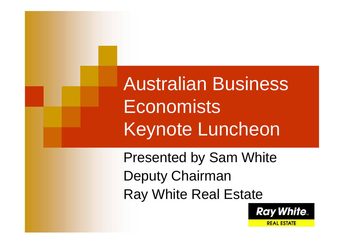Australian Business **Economists** Keynote Luncheon

Presented by Sam White Deputy Chairman Ray White Real Estate

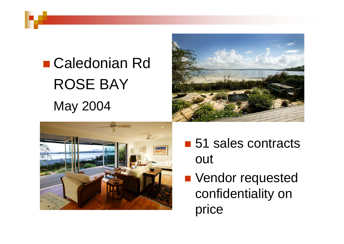## ■ Caledonian Rd ROSE BAYMay 2004





- 51 sales contracts out
- **Nendor requested** confidentiality on price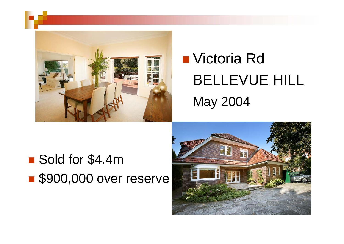

# ■ Victoria Rd BELLEVUE HILL May 2004

■ Sold for \$4.4m S900,000 over reserve

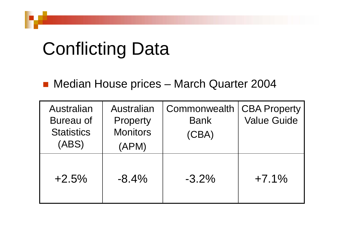# Conflicting Data

#### ■ Median House prices – March Quarter 2004

| Australian<br>Bureau of<br><b>Statistics</b><br>(ABS) | Australian<br>Property<br><b>Monitors</b><br>(APM) | Commonwealth<br><b>Bank</b><br>(CBA) | <b>CBA Property</b><br><b>Value Guide</b> |
|-------------------------------------------------------|----------------------------------------------------|--------------------------------------|-------------------------------------------|
| $+2.5%$                                               | $-8.4\%$                                           | $-3.2\%$                             | $+7.1%$                                   |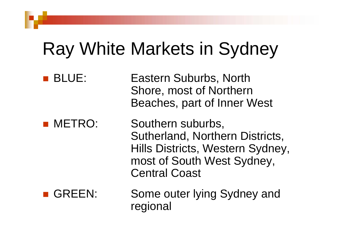# Ray White Markets in Sydney

**BLUE:** Eastern Suburbs, North Shore, most of Northern Beaches, part of Inner West **NETRO:** Southern suburbs, Sutherland, Northern Districts, Hills Districts, Western Sydney, most of South West Sydney, Central Coast GREEN: Some outer lying Sydney and regional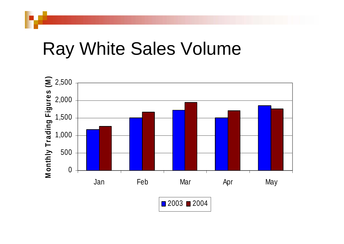#### Ray White Sales Volume



2003 ∎ 2004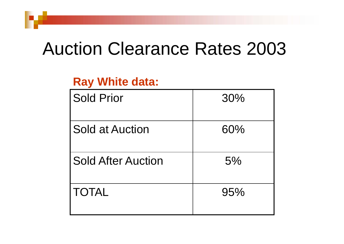### Auction Clearance Rates 2003

#### **Ray White data:**

| <b>Sold Prior</b>         | 30% |
|---------------------------|-----|
| <b>Sold at Auction</b>    | 60% |
| <b>Sold After Auction</b> | 5%  |
| <b>TOTAL</b>              | 95% |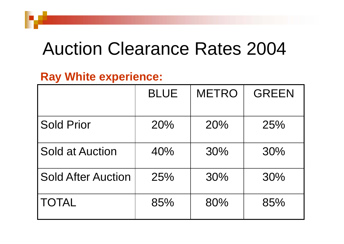### Auction Clearance Rates 2004

#### **Ray White experience:**

|                           | <b>BLUE</b> | <b>METRO</b> | <b>GREEN</b> |
|---------------------------|-------------|--------------|--------------|
| <b>Sold Prior</b>         | 20%         | 20%          | 25%          |
| <b>Sold at Auction</b>    | 40%         | 30%          | 30%          |
| <b>Sold After Auction</b> | 25%         | 30%          | 30%          |
| <b>TOTAL</b>              | 85%         | 80%          | 85%          |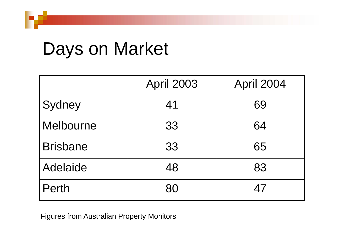## Days on Market

|                 | <b>April 2003</b> | April 2004 |
|-----------------|-------------------|------------|
| Sydney          | 41                | 69         |
| Melbourne       | 33                | 64         |
| <b>Brisbane</b> | 33                | 65         |
| Adelaide        | 48                | 83         |
| <b>Perth</b>    | 80                | 47         |

Figures from Australian Property Monitors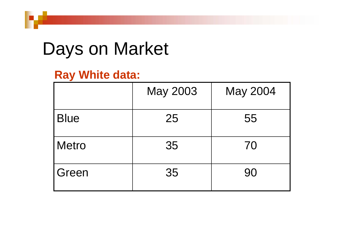## Days on Market

#### **Ray White data:**

|              | May 2003 | May 2004 |
|--------------|----------|----------|
| <b>Blue</b>  | 25       | 55       |
| <b>Metro</b> | 35       | 70       |
| Green        | 35       | 90       |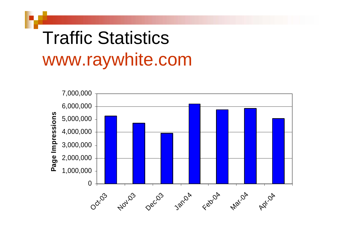# Traffic Statistics www.raywhite.com